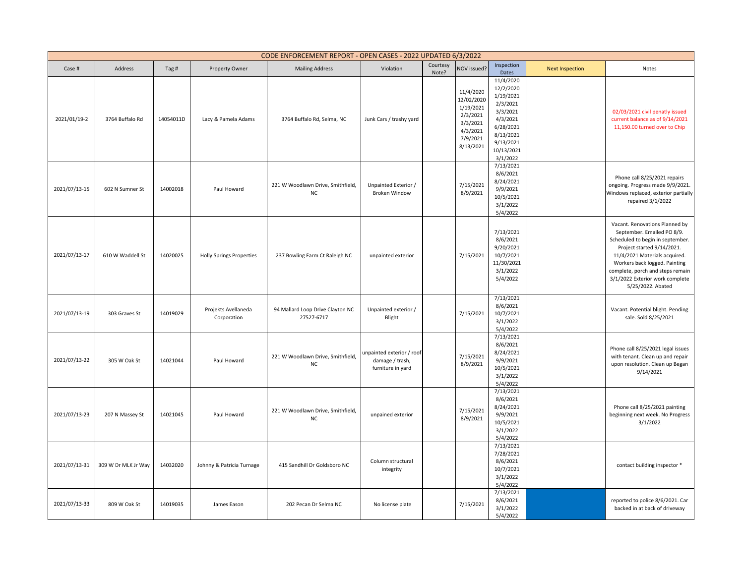|               | CODE ENFORCEMENT REPORT - OPEN CASES - 2022 UPDATED 6/3/2022 |           |                                    |                                                |                                                                   |                   |                                                                                                   |                                                                                                                                          |                        |                                                                                                                                                                                                                                                                                              |
|---------------|--------------------------------------------------------------|-----------|------------------------------------|------------------------------------------------|-------------------------------------------------------------------|-------------------|---------------------------------------------------------------------------------------------------|------------------------------------------------------------------------------------------------------------------------------------------|------------------------|----------------------------------------------------------------------------------------------------------------------------------------------------------------------------------------------------------------------------------------------------------------------------------------------|
| Case #        | Address                                                      | Tag#      | Property Owner                     | <b>Mailing Address</b>                         | Violation                                                         | Courtesy<br>Note? | NOV issued?                                                                                       | Inspection<br>Dates                                                                                                                      | <b>Next Inspection</b> | Notes                                                                                                                                                                                                                                                                                        |
| 2021/01/19-2  | 3764 Buffalo Rd                                              | 14054011D | Lacy & Pamela Adams                | 3764 Buffalo Rd, Selma, NC                     | Junk Cars / trashy yard                                           |                   | 11/4/2020<br>12/02/2020<br>1/19/2021<br>2/3/2021<br>3/3/2021<br>4/3/2021<br>7/9/2021<br>8/13/2021 | 11/4/2020<br>12/2/2020<br>1/19/2021<br>2/3/2021<br>3/3/2021<br>4/3/2021<br>6/28/2021<br>8/13/2021<br>9/13/2021<br>10/13/2021<br>3/1/2022 |                        | 02/03/2021 civil penatly issued<br>current balance as of 9/14/2021<br>11,150.00 turned over to Chip                                                                                                                                                                                          |
| 2021/07/13-15 | 602 N Sumner St                                              | 14002018  | Paul Howard                        | 221 W Woodlawn Drive, Smithfield,<br><b>NC</b> | Unpainted Exterior /<br><b>Broken Window</b>                      |                   | 7/15/2021<br>8/9/2021                                                                             | 7/13/2021<br>8/6/2021<br>8/24/2021<br>9/9/2021<br>10/5/2021<br>3/1/2022<br>5/4/2022                                                      |                        | Phone call 8/25/2021 repairs<br>ongoing. Progress made 9/9/2021.<br>Windows replaced, exterior partially<br>repaired 3/1/2022                                                                                                                                                                |
| 2021/07/13-17 | 610 W Waddell St                                             | 14020025  | <b>Holly Springs Properties</b>    | 237 Bowling Farm Ct Raleigh NC                 | unpainted exterior                                                |                   | 7/15/2021                                                                                         | 7/13/2021<br>8/6/2021<br>9/20/2021<br>10/7/2021<br>11/30/2021<br>3/1/2022<br>5/4/2022                                                    |                        | Vacant. Renovations Planned by<br>September. Emailed PO 8/9.<br>Scheduled to begin in september.<br>Project started 9/14/2021.<br>11/4/2021 Materials acquired.<br>Workers back logged. Painting<br>complete, porch and steps remain<br>3/1/2022 Exterior work complete<br>5/25/2022. Abated |
| 2021/07/13-19 | 303 Graves St                                                | 14019029  | Projekts Avellaneda<br>Corporation | 94 Mallard Loop Drive Clayton NC<br>27527-6717 | Unpainted exterior /<br>Blight                                    |                   | 7/15/2021                                                                                         | 7/13/2021<br>8/6/2021<br>10/7/2021<br>3/1/2022<br>5/4/2022                                                                               |                        | Vacant. Potential blight. Pending<br>sale. Sold 8/25/2021                                                                                                                                                                                                                                    |
| 2021/07/13-22 | 305 W Oak St                                                 | 14021044  | Paul Howard                        | 221 W Woodlawn Drive, Smithfield,<br><b>NC</b> | unpainted exterior / roof<br>damage / trash,<br>furniture in yard |                   | 7/15/2021<br>8/9/2021                                                                             | 7/13/2021<br>8/6/2021<br>8/24/2021<br>9/9/2021<br>10/5/2021<br>3/1/2022<br>5/4/2022                                                      |                        | Phone call 8/25/2021 legal issues<br>with tenant. Clean up and repair<br>upon resolution. Clean up Began<br>9/14/2021                                                                                                                                                                        |
| 2021/07/13-23 | 207 N Massey St                                              | 14021045  | Paul Howard                        | 221 W Woodlawn Drive, Smithfield,<br>NC        | unpained exterior                                                 |                   | 7/15/2021<br>8/9/2021                                                                             | 7/13/2021<br>8/6/2021<br>8/24/2021<br>9/9/2021<br>10/5/2021<br>3/1/2022<br>5/4/2022                                                      |                        | Phone call 8/25/2021 painting<br>beginning next week. No Progress<br>3/1/2022                                                                                                                                                                                                                |
| 2021/07/13-31 | 309 W Dr MLK Jr Way                                          | 14032020  | Johnny & Patricia Turnage          | 415 Sandhill Dr Goldsboro NC                   | Column structural<br>integrity                                    |                   |                                                                                                   | 7/13/2021<br>7/28/2021<br>8/6/2021<br>10/7/2021<br>3/1/2022<br>5/4/2022                                                                  |                        | contact building inspector *                                                                                                                                                                                                                                                                 |
| 2021/07/13-33 | 809 W Oak St                                                 | 14019035  | James Eason                        | 202 Pecan Dr Selma NC                          | No license plate                                                  |                   | 7/15/2021                                                                                         | 7/13/2021<br>8/6/2021<br>3/1/2022<br>5/4/2022                                                                                            |                        | reported to police 8/6/2021. Car<br>backed in at back of driveway                                                                                                                                                                                                                            |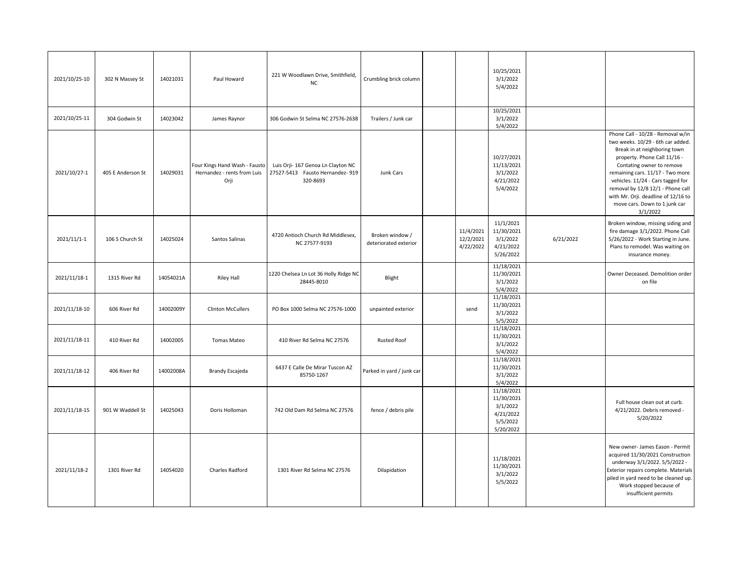| 2021/10/25-10 | 302 N Massey St   | 14021031  | Paul Howard                                                          | 221 W Woodlawn Drive, Smithfield,<br><b>NC</b>                                     | Crumbling brick column                   |                                     | 10/25/2021<br>3/1/2022<br>5/4/2022                                         |           |                                                                                                                                                                                                                                                                                                                                                                       |
|---------------|-------------------|-----------|----------------------------------------------------------------------|------------------------------------------------------------------------------------|------------------------------------------|-------------------------------------|----------------------------------------------------------------------------|-----------|-----------------------------------------------------------------------------------------------------------------------------------------------------------------------------------------------------------------------------------------------------------------------------------------------------------------------------------------------------------------------|
| 2021/10/25-11 | 304 Godwin St     | 14023042  | James Raynor                                                         | 306 Godwin St Selma NC 27576-2638                                                  | Trailers / Junk car                      |                                     | 10/25/2021<br>3/1/2022<br>5/4/2022                                         |           |                                                                                                                                                                                                                                                                                                                                                                       |
| 2021/10/27-1  | 405 E Anderson St | 14029031  | Four Kings Hand Wash - Fausto<br>Hernandez - rents from Luis<br>Orji | Luis Orji- 167 Genoa Ln Clayton NC<br>27527-5413 Fausto Hernandez- 919<br>320-8693 | Junk Cars                                |                                     | 10/27/2021<br>11/13/2021<br>3/1/2022<br>4/21/2022<br>5/4/2022              |           | Phone Call - 10/28 - Removal w/in<br>two weeks. 10/29 - 6th car added.<br>Break in at neighboring town<br>property. Phone Call 11/16 -<br>Contating owner to remove<br>remaining cars. 11/17 - Two more<br>vehicles. 11/24 - Cars tagged for<br>removal by 12/8 12/1 - Phone call<br>with Mr. Orji. deadline of 12/16 to<br>move cars. Down to 1 junk car<br>3/1/2022 |
| 2021/11/1-1   | 106 S Church St   | 14025024  | Santos Salinas                                                       | 4720 Antioch Church Rd Middlesex,<br>NC 27577-9193                                 | Broken window /<br>deteriorated exterior | 11/4/2021<br>12/2/2021<br>4/22/2022 | 11/1/2021<br>11/30/2021<br>3/1/2022<br>4/21/2022<br>5/26/2022              | 6/21/2022 | Broken window, missing siding and<br>fire damage 3/1/2022. Phone Call<br>5/26/2022 - Work Starting in June.<br>Plans to remodel. Was waiting on<br>insurance money.                                                                                                                                                                                                   |
| 2021/11/18-1  | 1315 River Rd     | 14054021A | <b>Riley Hall</b>                                                    | 1220 Chelsea Ln Lot 36 Holly Ridge NC<br>28445-8010                                | Blight                                   |                                     | 11/18/2021<br>11/30/2021<br>3/1/2022<br>5/4/2022                           |           | Owner Deceased. Demolition order<br>on file                                                                                                                                                                                                                                                                                                                           |
| 2021/11/18-10 | 606 River Rd      | 14002009Y | <b>Clinton McCullers</b>                                             | PO Box 1000 Selma NC 27576-1000                                                    | unpainted exterior                       | send                                | 11/18/2021<br>11/30/2021<br>3/1/2022<br>5/5/2022                           |           |                                                                                                                                                                                                                                                                                                                                                                       |
| 2021/11/18-11 | 410 River Rd      | 14002005  | Tomas Mateo                                                          | 410 River Rd Selma NC 27576                                                        | <b>Rusted Roof</b>                       |                                     | 11/18/2021<br>11/30/2021<br>3/1/2022<br>5/4/2022                           |           |                                                                                                                                                                                                                                                                                                                                                                       |
| 2021/11/18-12 | 406 River Rd      | 14002008A | Brandy Escajeda                                                      | 6437 E Calle De Mirar Tuscon AZ<br>85750-1267                                      | Parked in yard / junk car                |                                     | 11/18/2021<br>11/30/2021<br>3/1/2022<br>5/4/2022                           |           |                                                                                                                                                                                                                                                                                                                                                                       |
| 2021/11/18-15 | 901 W Waddell St  | 14025043  | Doris Holloman                                                       | 742 Old Dam Rd Selma NC 27576                                                      | fence / debris pile                      |                                     | 11/18/2021<br>11/30/2021<br>3/1/2022<br>4/21/2022<br>5/5/2022<br>5/20/2022 |           | Full house clean out at curb.<br>4/21/2022. Debris removed -<br>5/20/2022                                                                                                                                                                                                                                                                                             |
| 2021/11/18-2  | 1301 River Rd     | 14054020  | Charles Radford                                                      | 1301 River Rd Selma NC 27576                                                       | Dilapidation                             |                                     | 11/18/2021<br>11/30/2021<br>3/1/2022<br>5/5/2022                           |           | New owner- James Eason - Permit<br>acquired 11/30/2021 Construction<br>underway 3/1/2022. 5/5/2022 -<br>Exterior repairs complete. Materials<br>piled in yard need to be cleaned up.<br>Work stopped because of<br>insufficient permits                                                                                                                               |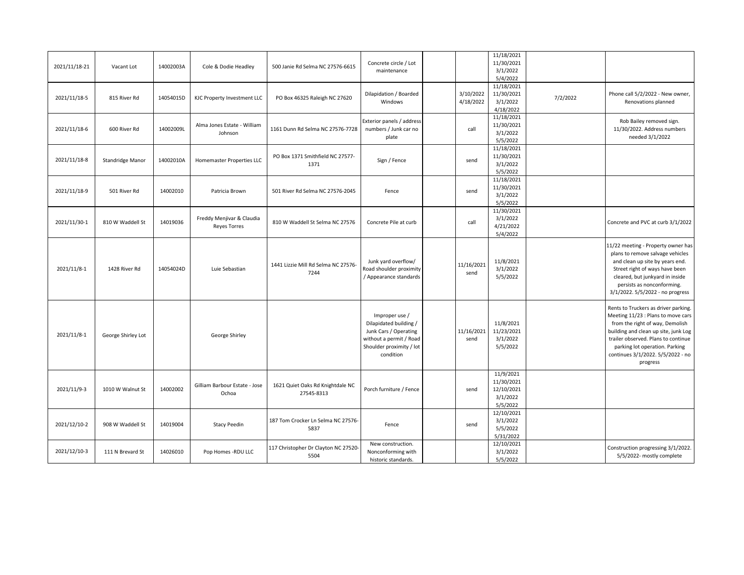| 2021/11/18-21 | Vacant Lot         | 14002003A | Cole & Dodie Headley                             | 500 Janie Rd Selma NC 27576-6615               | Concrete circle / Lot<br>maintenance                                                                                                  |                        | 11/18/2021<br>11/30/2021<br>3/1/2022<br>5/4/2022              |          |                                                                                                                                                                                                                                                                                 |
|---------------|--------------------|-----------|--------------------------------------------------|------------------------------------------------|---------------------------------------------------------------------------------------------------------------------------------------|------------------------|---------------------------------------------------------------|----------|---------------------------------------------------------------------------------------------------------------------------------------------------------------------------------------------------------------------------------------------------------------------------------|
| 2021/11/18-5  | 815 River Rd       | 14054015D | KJC Property Investment LLC                      | PO Box 46325 Raleigh NC 27620                  | Dilapidation / Boarded<br>Windows                                                                                                     | 3/10/2022<br>4/18/2022 | 11/18/2021<br>11/30/2021<br>3/1/2022<br>4/18/2022             | 7/2/2022 | Phone call 5/2/2022 - New owner,<br>Renovations planned                                                                                                                                                                                                                         |
| 2021/11/18-6  | 600 River Rd       | 14002009L | Alma Jones Estate - William<br>Johnson           | 1161 Dunn Rd Selma NC 27576-7728               | Exterior panels / address<br>numbers / Junk car no<br>plate                                                                           | call                   | 11/18/2021<br>11/30/2021<br>3/1/2022<br>5/5/2022              |          | Rob Bailey removed sign.<br>11/30/2022. Address numbers<br>needed 3/1/2022                                                                                                                                                                                                      |
| 2021/11/18-8  | Standridge Manor   | 14002010A | Homemaster Properties LLC                        | PO Box 1371 Smithfield NC 27577-<br>1371       | Sign / Fence                                                                                                                          | send                   | 11/18/2021<br>11/30/2021<br>3/1/2022<br>5/5/2022              |          |                                                                                                                                                                                                                                                                                 |
| 2021/11/18-9  | 501 River Rd       | 14002010  | Patricia Brown                                   | 501 River Rd Selma NC 27576-2045               | Fence                                                                                                                                 | send                   | 11/18/2021<br>11/30/2021<br>3/1/2022<br>5/5/2022              |          |                                                                                                                                                                                                                                                                                 |
| 2021/11/30-1  | 810 W Waddell St   | 14019036  | Freddy Menjivar & Claudia<br><b>Reyes Torres</b> | 810 W Waddell St Selma NC 27576                | Concrete Pile at curb                                                                                                                 | call                   | 11/30/2021<br>3/1/2022<br>4/21/2022<br>5/4/2022               |          | Concrete and PVC at curb 3/1/2022                                                                                                                                                                                                                                               |
| 2021/11/8-1   | 1428 River Rd      | 14054024D | Luie Sebastian                                   | 1441 Lizzie Mill Rd Selma NC 27576-<br>7244    | Junk yard overflow/<br>Road shoulder proximity<br>/ Appearance standards                                                              | 11/16/2021<br>send     | 11/8/2021<br>3/1/2022<br>5/5/2022                             |          | 11/22 meeting - Property owner has<br>plans to remove salvage vehicles<br>and clean up site by years end.<br>Street right of ways have been<br>cleared, but junkyard in inside<br>persists as nonconforming.<br>3/1/2022. 5/5/2022 - no progress                                |
| 2021/11/8-1   | George Shirley Lot |           | George Shirley                                   |                                                | Improper use /<br>Dilapidated building /<br>Junk Cars / Operating<br>without a permit / Road<br>Shoulder proximity / lot<br>condition | 11/16/2021<br>send     | 11/8/2021<br>11/23/2021<br>3/1/2022<br>5/5/2022               |          | Rents to Truckers as driver parking.<br>Meeting 11/23 : Plans to move cars<br>from the right of way, Demolish<br>building and clean up site, junk Log<br>trailer observed. Plans to continue<br>parking lot operation. Parking<br>continues 3/1/2022. 5/5/2022 - no<br>progress |
| 2021/11/9-3   | 1010 W Walnut St   | 14002002  | Gilliam Barbour Estate - Jose<br>Ochoa           | 1621 Quiet Oaks Rd Knightdale NC<br>27545-8313 | Porch furniture / Fence                                                                                                               | send                   | 11/9/2021<br>11/30/2021<br>12/10/2021<br>3/1/2022<br>5/5/2022 |          |                                                                                                                                                                                                                                                                                 |
| 2021/12/10-2  | 908 W Waddell St   | 14019004  | <b>Stacy Peedin</b>                              | 187 Tom Crocker Ln Selma NC 27576-<br>5837     | Fence                                                                                                                                 | send                   | 12/10/2021<br>3/1/2022<br>5/5/2022<br>5/31/2022               |          |                                                                                                                                                                                                                                                                                 |
| 2021/12/10-3  | 111 N Brevard St   | 14026010  | Pop Homes -RDU LLC                               | 117 Christopher Dr Clayton NC 27520-<br>5504   | New construction.<br>Nonconforming with<br>historic standards.                                                                        |                        | 12/10/2021<br>3/1/2022<br>5/5/2022                            |          | Construction progressing 3/1/2022.<br>5/5/2022- mostly complete                                                                                                                                                                                                                 |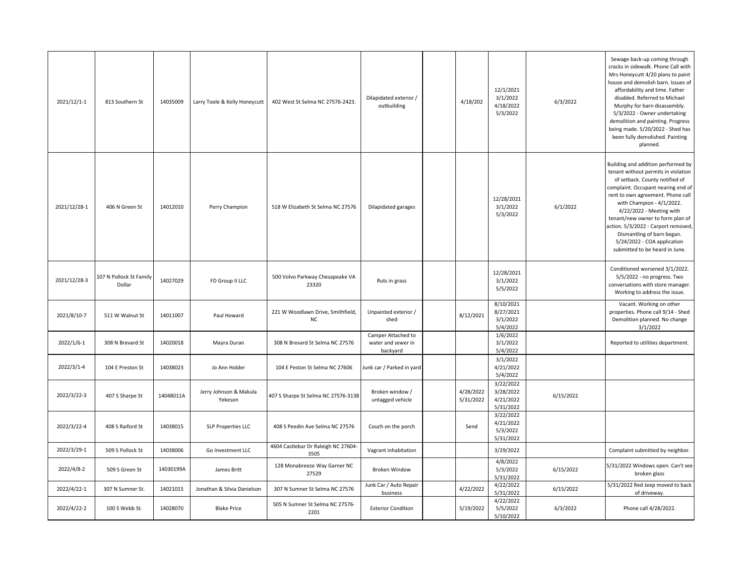| 2021/12/1-1  | 813 Southern St                   | 14035009  | Larry Toole & Kelly Honeycutt     | 402 West St Selma NC 27576-2423.               | Dilapidated exterior /<br>outbuilding                | 4/18/202               | 12/1/2021<br>3/1/2022<br>4/18/2022<br>5/3/2022   | 6/3/2022  | Sewage back-up coming through<br>cracks in sidewalk. Phone Call with<br>Mrs Honeycutt 4/20 plans to paint<br>house and demolish barn. Issues of<br>affordability and time. Father<br>disabled. Referred to Michael<br>Murphy for barn disassembly.<br>5/3/2022 - Owner undertaking<br>demolition and painting. Progress<br>being made. 5/20/2022 - Shed has<br>been fully demolished. Painting<br>planned.                |
|--------------|-----------------------------------|-----------|-----------------------------------|------------------------------------------------|------------------------------------------------------|------------------------|--------------------------------------------------|-----------|---------------------------------------------------------------------------------------------------------------------------------------------------------------------------------------------------------------------------------------------------------------------------------------------------------------------------------------------------------------------------------------------------------------------------|
| 2021/12/28-1 | 406 N Green St                    | 14012010  | Perry Champion                    | 518 W Elizabeth St Selma NC 27576              | Dilapidated garages                                  |                        | 12/28/2021<br>3/1/2022<br>5/3/2022               | 6/1/2022  | Building and addition performed by<br>tenant without permits in violation<br>of setback. County notified of<br>complaint. Occupant nearing end of<br>rent to own agreement. Phone call<br>with Champion - 4/1/2022.<br>4/22/2022 - Meeting with<br>tenant/new owner to form plan of<br>action. 5/3/2022 - Carport removed,<br>Dismantling of barn began.<br>5/24/2022 - COA application<br>submitted to be heard in June. |
| 2021/12/28-3 | 107 N Pollock St Family<br>Dollar | 14027029  | FD Group II LLC                   | 500 Volvo Parkway Chesapeake VA<br>23320       | Ruts in grass                                        |                        | 12/28/2021<br>3/1/2022<br>5/5/2022               |           | Conditioned worsened 3/1/2022.<br>5/5/2022 - no progress. Two<br>conversations with store manager.<br>Working to address the issue.                                                                                                                                                                                                                                                                                       |
| 2021/8/10-7  | 511 W Walnut St                   | 14011007  | Paul Howard                       | 221 W Woodlawn Drive, Smithfield,<br><b>NC</b> | Unpainted exterior /<br>shed                         | 8/12/2021              | 8/10/2021<br>8/27/2021<br>3/1/2022<br>5/4/2022   |           | Vacant. Working on other<br>properties. Phone call 9/14 - Shed<br>Demolition planned. No change<br>3/1/2022                                                                                                                                                                                                                                                                                                               |
| 2022/1/6-1   | 308 N Brevard St                  | 14020018  | Mayra Duran                       | 308 N Brevard St Selma NC 27576                | Camper Attached to<br>water and sewer in<br>backyard |                        | 1/6/2022<br>3/1/2022<br>5/4/2022                 |           | Reported to utilities department.                                                                                                                                                                                                                                                                                                                                                                                         |
| 2022/3/1-4   | 104 E Preston St                  | 14038023  | Jo Ann Holder                     | 104 E Peston St Selma NC 27606                 | Junk car / Parked in yard                            |                        | 3/1/2022<br>4/21/2022<br>5/4/2022                |           |                                                                                                                                                                                                                                                                                                                                                                                                                           |
| 2022/3/22-3  | 407 S Sharpe St                   | 14048011A | Jerry Johnson & Makula<br>Yekeson | 407 S Sharpe St Selma NC 27576-3138            | Broken window /<br>untagged vehicle                  | 4/28/2022<br>5/31/2022 | 3/22/2022<br>3/28/2022<br>4/21/2022<br>5/31/2022 | 6/15/2022 |                                                                                                                                                                                                                                                                                                                                                                                                                           |
| 2022/3/22-4  | 408 S Raiford St                  | 14038015  | SLP Properties LLC                | 408 S Peedin Ave Selma NC 27576                | Couch on the porch                                   | Send                   | 3/22/2022<br>4/21/2022<br>5/3/2022<br>5/31/2022  |           |                                                                                                                                                                                                                                                                                                                                                                                                                           |
| 2022/3/29-1  | 509 S Pollock St                  | 14038006  | Go Investment LLC                 | 4604 Castlebar Dr Raleigh NC 27604-<br>3505    | Vagrant inhabitation                                 |                        | 3/29/2022                                        |           | Complaint submitted by neighbor.                                                                                                                                                                                                                                                                                                                                                                                          |
| 2022/4/8-2   | 509 S Green St                    | 14030199A | James Britt                       | 128 Monabreeze Way Garner NC<br>27529          | <b>Broken Window</b>                                 |                        | 4/8/2022<br>5/3/2022<br>5/31/2022                | 6/15/2022 | 5/31/2022 Windows open. Can't see<br>broken glass                                                                                                                                                                                                                                                                                                                                                                         |
| 2022/4/22-1  | 307 N Sumner St.                  | 14021015  | Jonathan & Silvia Danielson       | 307 N Sumner St Selma NC 27576                 | Junk Car / Auto Repair<br>business                   | 4/22/2022              | 4/22/2022<br>5/31/2022                           | 6/15/2022 | 5/31/2022 Red Jeep moved to back<br>of driveway.                                                                                                                                                                                                                                                                                                                                                                          |
| 2022/4/22-2  | 100 S Webb St.                    | 14028070  | <b>Blake Price</b>                | 505 N Sumner St Selma NC 27576-<br>2201        | <b>Exterior Condition</b>                            | 5/19/2022              | 4/22/2022<br>5/5/2022<br>5/10/2022               | 6/3/2022  | Phone call 4/28/2022.                                                                                                                                                                                                                                                                                                                                                                                                     |